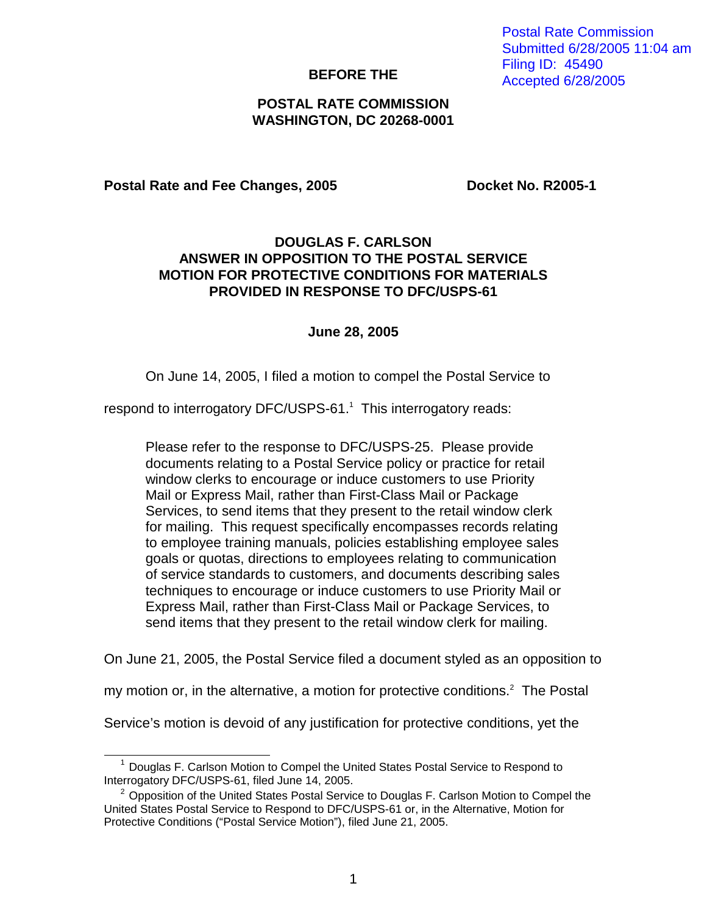### **BEFORE THE**

# **POSTAL RATE COMMISSION WASHINGTON, DC 20268-0001**

### Postal Rate and Fee Changes, 2005 **Docket No. R2005-1**

# **DOUGLAS F. CARLSON ANSWER IN OPPOSITION TO THE POSTAL SERVICE MOTION FOR PROTECTIVE CONDITIONS FOR MATERIALS PROVIDED IN RESPONSE TO DFC/USPS-61**

#### **June 28, 2005**

On June 14, 2005, I filed a motion to compel the Postal Service to

respond to interrogatory DFC/USPS-61.<sup>1</sup> This interrogatory reads:

Please refer to the response to DFC/USPS-25. Please provide documents relating to a Postal Service policy or practice for retail window clerks to encourage or induce customers to use Priority Mail or Express Mail, rather than First-Class Mail or Package Services, to send items that they present to the retail window clerk for mailing. This request specifically encompasses records relating to employee training manuals, policies establishing employee sales goals or quotas, directions to employees relating to communication of service standards to customers, and documents describing sales techniques to encourage or induce customers to use Priority Mail or Express Mail, rather than First-Class Mail or Package Services, to send items that they present to the retail window clerk for mailing.

On June 21, 2005, the Postal Service filed a document styled as an opposition to

my motion or, in the alternative, a motion for protective conditions.<sup>2</sup> The Postal

Service's motion is devoid of any justification for protective conditions, yet the

Postal Rate Commission Submitted 6/28/2005 11:04 am Filing ID: 45490 Accepted 6/28/2005

 $<sup>1</sup>$  Douglas F. Carlson Motion to Compel the United States Postal Service to Respond to</sup> Interrogatory DFC/USPS-61, filed June 14, 2005.

 $2$  Opposition of the United States Postal Service to Douglas F. Carlson Motion to Compel the United States Postal Service to Respond to DFC/USPS-61 or, in the Alternative, Motion for Protective Conditions ("Postal Service Motion"), filed June 21, 2005.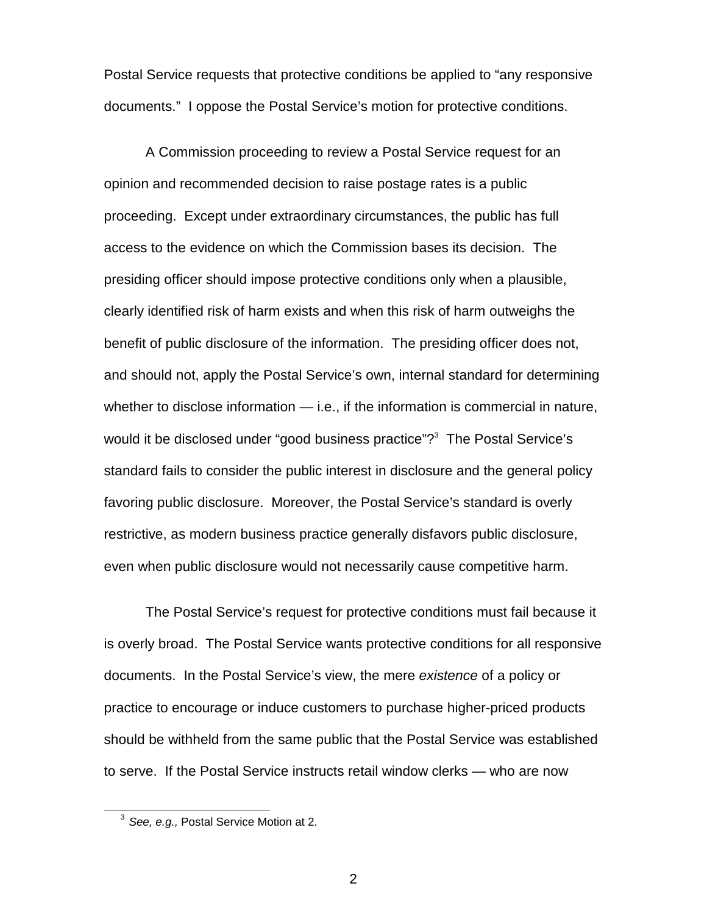Postal Service requests that protective conditions be applied to "any responsive documents." I oppose the Postal Service's motion for protective conditions.

 A Commission proceeding to review a Postal Service request for an opinion and recommended decision to raise postage rates is a public proceeding. Except under extraordinary circumstances, the public has full access to the evidence on which the Commission bases its decision. The presiding officer should impose protective conditions only when a plausible, clearly identified risk of harm exists and when this risk of harm outweighs the benefit of public disclosure of the information. The presiding officer does not, and should not, apply the Postal Service's own, internal standard for determining whether to disclose information — i.e., if the information is commercial in nature, would it be disclosed under "good business practice"?<sup>3</sup> The Postal Service's standard fails to consider the public interest in disclosure and the general policy favoring public disclosure. Moreover, the Postal Service's standard is overly restrictive, as modern business practice generally disfavors public disclosure, even when public disclosure would not necessarily cause competitive harm.

 The Postal Service's request for protective conditions must fail because it is overly broad. The Postal Service wants protective conditions for all responsive documents. In the Postal Service's view, the mere existence of a policy or practice to encourage or induce customers to purchase higher-priced products should be withheld from the same public that the Postal Service was established to serve. If the Postal Service instructs retail window clerks — who are now

 $3$  See, e.g., Postal Service Motion at 2.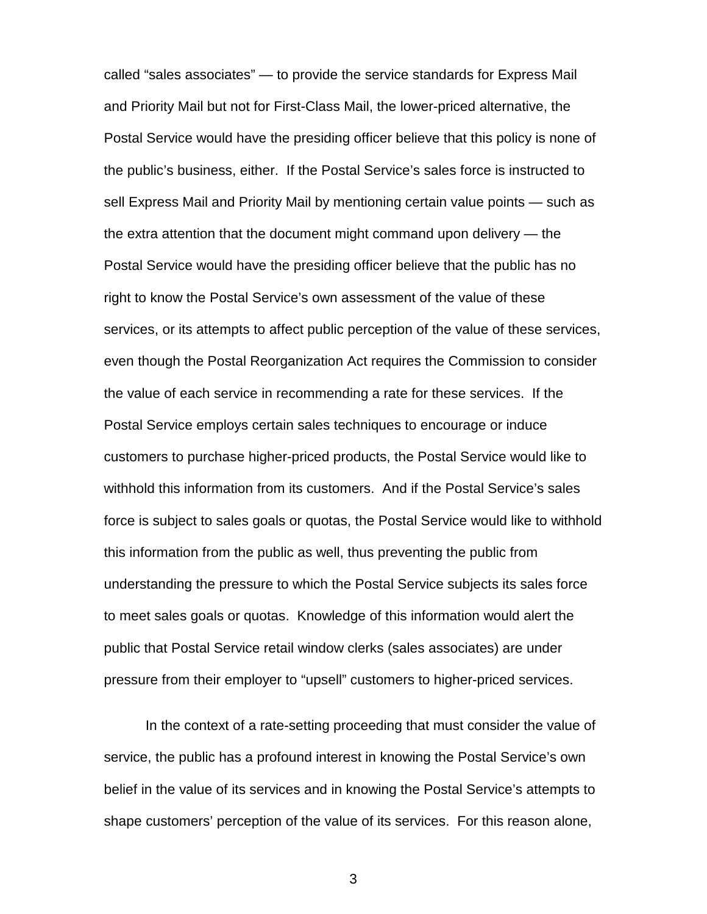called "sales associates" — to provide the service standards for Express Mail and Priority Mail but not for First-Class Mail, the lower-priced alternative, the Postal Service would have the presiding officer believe that this policy is none of the public's business, either. If the Postal Service's sales force is instructed to sell Express Mail and Priority Mail by mentioning certain value points — such as the extra attention that the document might command upon delivery — the Postal Service would have the presiding officer believe that the public has no right to know the Postal Service's own assessment of the value of these services, or its attempts to affect public perception of the value of these services, even though the Postal Reorganization Act requires the Commission to consider the value of each service in recommending a rate for these services. If the Postal Service employs certain sales techniques to encourage or induce customers to purchase higher-priced products, the Postal Service would like to withhold this information from its customers. And if the Postal Service's sales force is subject to sales goals or quotas, the Postal Service would like to withhold this information from the public as well, thus preventing the public from understanding the pressure to which the Postal Service subjects its sales force to meet sales goals or quotas. Knowledge of this information would alert the public that Postal Service retail window clerks (sales associates) are under pressure from their employer to "upsell" customers to higher-priced services.

 In the context of a rate-setting proceeding that must consider the value of service, the public has a profound interest in knowing the Postal Service's own belief in the value of its services and in knowing the Postal Service's attempts to shape customers' perception of the value of its services. For this reason alone,

3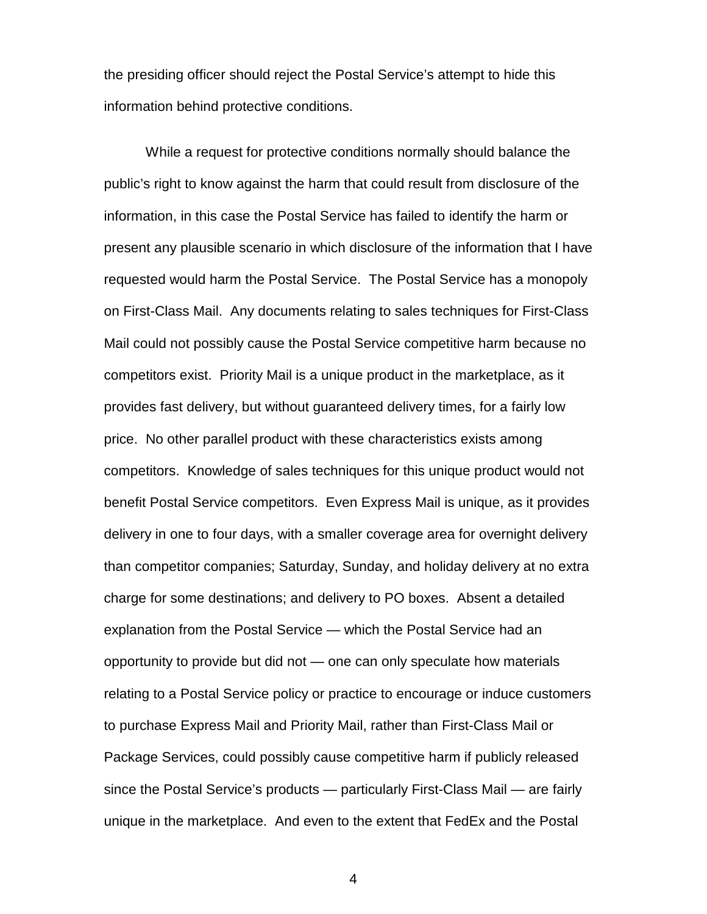the presiding officer should reject the Postal Service's attempt to hide this information behind protective conditions.

 While a request for protective conditions normally should balance the public's right to know against the harm that could result from disclosure of the information, in this case the Postal Service has failed to identify the harm or present any plausible scenario in which disclosure of the information that I have requested would harm the Postal Service. The Postal Service has a monopoly on First-Class Mail. Any documents relating to sales techniques for First-Class Mail could not possibly cause the Postal Service competitive harm because no competitors exist. Priority Mail is a unique product in the marketplace, as it provides fast delivery, but without guaranteed delivery times, for a fairly low price. No other parallel product with these characteristics exists among competitors. Knowledge of sales techniques for this unique product would not benefit Postal Service competitors. Even Express Mail is unique, as it provides delivery in one to four days, with a smaller coverage area for overnight delivery than competitor companies; Saturday, Sunday, and holiday delivery at no extra charge for some destinations; and delivery to PO boxes. Absent a detailed explanation from the Postal Service — which the Postal Service had an opportunity to provide but did not — one can only speculate how materials relating to a Postal Service policy or practice to encourage or induce customers to purchase Express Mail and Priority Mail, rather than First-Class Mail or Package Services, could possibly cause competitive harm if publicly released since the Postal Service's products — particularly First-Class Mail — are fairly unique in the marketplace. And even to the extent that FedEx and the Postal

4